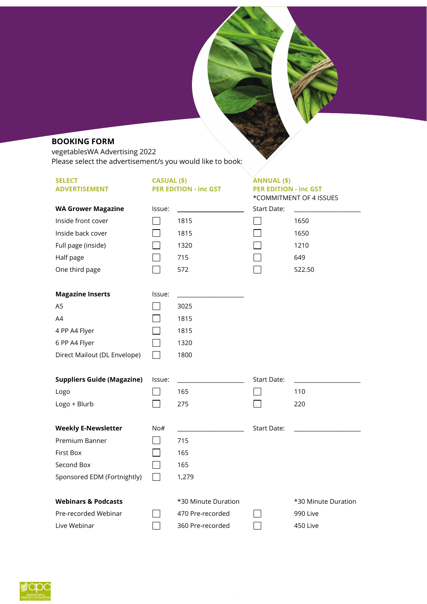# **BOOKING FORM**

vegetablesWA Advertising 2022 Please select the advertisement/s you would like to book:

| <b>SELECT</b>                     | CASUAL (\$) |                              | <b>ANNUAL (\$)</b>           |                         |
|-----------------------------------|-------------|------------------------------|------------------------------|-------------------------|
| <b>ADVERTISEMENT</b>              |             | <b>PER EDITION - inc GST</b> | <b>PER EDITION - inc GST</b> |                         |
|                                   |             |                              | Start Date:                  | *COMMITMENT OF 4 ISSUES |
| <b>WA Grower Magazine</b>         | lssue:      |                              |                              |                         |
| Inside front cover                |             | 1815                         |                              | 1650                    |
| Inside back cover                 |             | 1815                         |                              | 1650                    |
| Full page (inside)                |             | 1320                         |                              | 1210                    |
| Half page                         |             | 715                          |                              | 649                     |
| One third page                    |             | 572                          |                              | 522.50                  |
| <b>Magazine Inserts</b>           | Issue:      |                              |                              |                         |
| A <sub>5</sub>                    |             | 3025                         |                              |                         |
| A4                                |             | 1815                         |                              |                         |
| 4 PP A4 Flyer                     |             | 1815                         |                              |                         |
| 6 PP A4 Flyer                     |             | 1320                         |                              |                         |
| Direct Mailout (DL Envelope)      |             | 1800                         |                              |                         |
| <b>Suppliers Guide (Magazine)</b> | lssue:      |                              | <b>Start Date:</b>           |                         |
| Logo                              |             | 165                          |                              | 110                     |
| Logo + Blurb                      |             | 275                          |                              | 220                     |
| <b>Weekly E-Newsletter</b>        | No#         |                              | Start Date:                  |                         |
| Premium Banner                    | $\sim$      | 715                          |                              |                         |
| <b>First Box</b>                  |             | 165                          |                              |                         |
| Second Box                        |             | 165                          |                              |                         |
| Sponsored EDM (Fortnightly)       |             | 1,279                        |                              |                         |
| <b>Webinars &amp; Podcasts</b>    |             | *30 Minute Duration          |                              | *30 Minute Duration     |
| Pre-recorded Webinar              |             | 470 Pre-recorded             |                              | 990 Live                |
| Live Webinar                      |             | 360 Pre-recorded             |                              | 450 Live                |